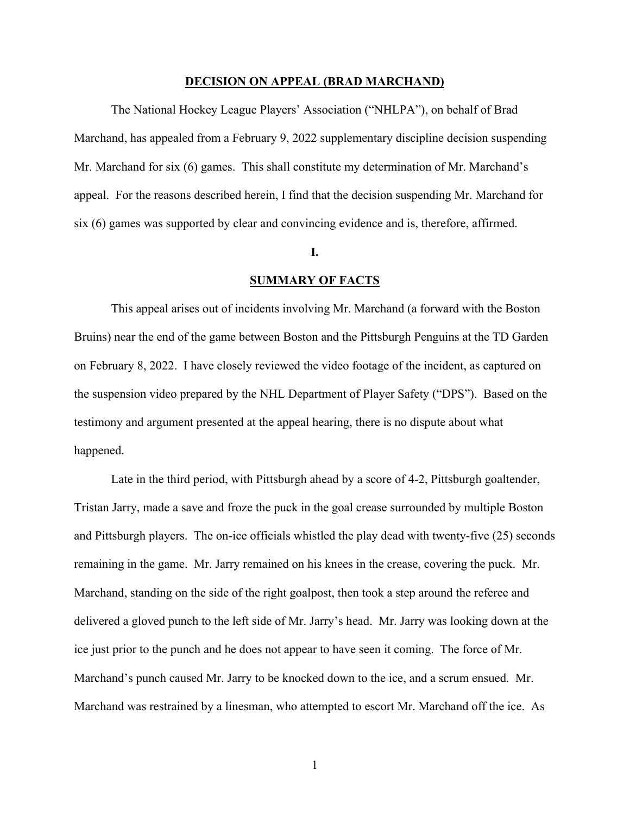#### **DECISION ON APPEAL (BRAD MARCHAND)**

The National Hockey League Players' Association ("NHLPA"), on behalf of Brad Marchand, has appealed from a February 9, 2022 supplementary discipline decision suspending Mr. Marchand for six (6) games. This shall constitute my determination of Mr. Marchand's appeal. For the reasons described herein, I find that the decision suspending Mr. Marchand for six (6) games was supported by clear and convincing evidence and is, therefore, affirmed.

### **I.**

## **SUMMARY OF FACTS**

This appeal arises out of incidents involving Mr. Marchand (a forward with the Boston Bruins) near the end of the game between Boston and the Pittsburgh Penguins at the TD Garden on February 8, 2022. I have closely reviewed the video footage of the incident, as captured on the suspension video prepared by the NHL Department of Player Safety ("DPS"). Based on the testimony and argument presented at the appeal hearing, there is no dispute about what happened.

Late in the third period, with Pittsburgh ahead by a score of 4-2, Pittsburgh goaltender, Tristan Jarry, made a save and froze the puck in the goal crease surrounded by multiple Boston and Pittsburgh players. The on-ice officials whistled the play dead with twenty-five (25) seconds remaining in the game. Mr. Jarry remained on his knees in the crease, covering the puck. Mr. Marchand, standing on the side of the right goalpost, then took a step around the referee and delivered a gloved punch to the left side of Mr. Jarry's head. Mr. Jarry was looking down at the ice just prior to the punch and he does not appear to have seen it coming. The force of Mr. Marchand's punch caused Mr. Jarry to be knocked down to the ice, and a scrum ensued. Mr. Marchand was restrained by a linesman, who attempted to escort Mr. Marchand off the ice. As

1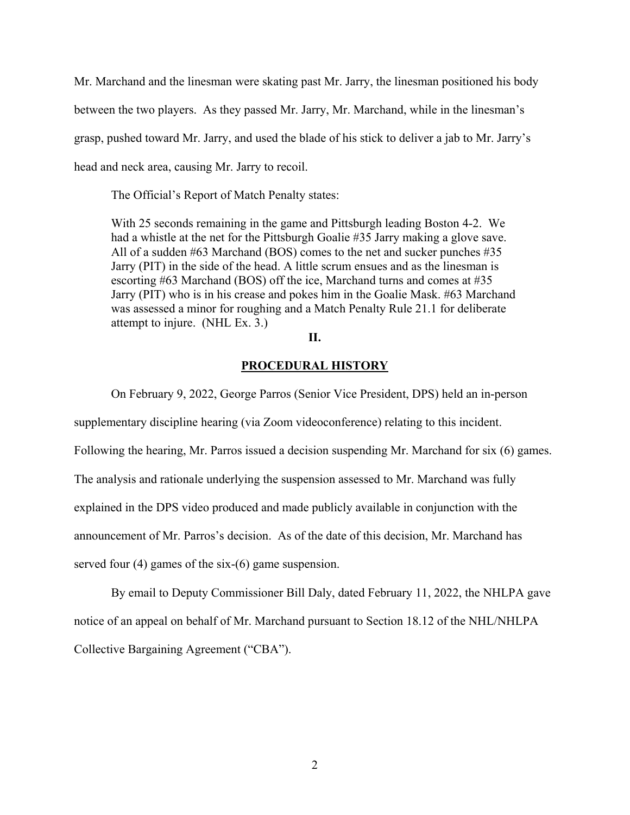Mr. Marchand and the linesman were skating past Mr. Jarry, the linesman positioned his body between the two players. As they passed Mr. Jarry, Mr. Marchand, while in the linesman's grasp, pushed toward Mr. Jarry, and used the blade of his stick to deliver a jab to Mr. Jarry's head and neck area, causing Mr. Jarry to recoil.

The Official's Report of Match Penalty states:

With 25 seconds remaining in the game and Pittsburgh leading Boston 4-2. We had a whistle at the net for the Pittsburgh Goalie #35 Jarry making a glove save. All of a sudden #63 Marchand (BOS) comes to the net and sucker punches #35 Jarry (PIT) in the side of the head. A little scrum ensues and as the linesman is escorting #63 Marchand (BOS) off the ice, Marchand turns and comes at #35 Jarry (PIT) who is in his crease and pokes him in the Goalie Mask. #63 Marchand was assessed a minor for roughing and a Match Penalty Rule 21.1 for deliberate attempt to injure. (NHL Ex. 3.)

# **II.**

## **PROCEDURAL HISTORY**

On February 9, 2022, George Parros (Senior Vice President, DPS) held an in-person supplementary discipline hearing (via Zoom videoconference) relating to this incident. Following the hearing, Mr. Parros issued a decision suspending Mr. Marchand for six (6) games. The analysis and rationale underlying the suspension assessed to Mr. Marchand was fully explained in the DPS video produced and made publicly available in conjunction with the announcement of Mr. Parros's decision. As of the date of this decision, Mr. Marchand has served four (4) games of the six-(6) game suspension.

By email to Deputy Commissioner Bill Daly, dated February 11, 2022, the NHLPA gave notice of an appeal on behalf of Mr. Marchand pursuant to Section 18.12 of the NHL/NHLPA Collective Bargaining Agreement ("CBA").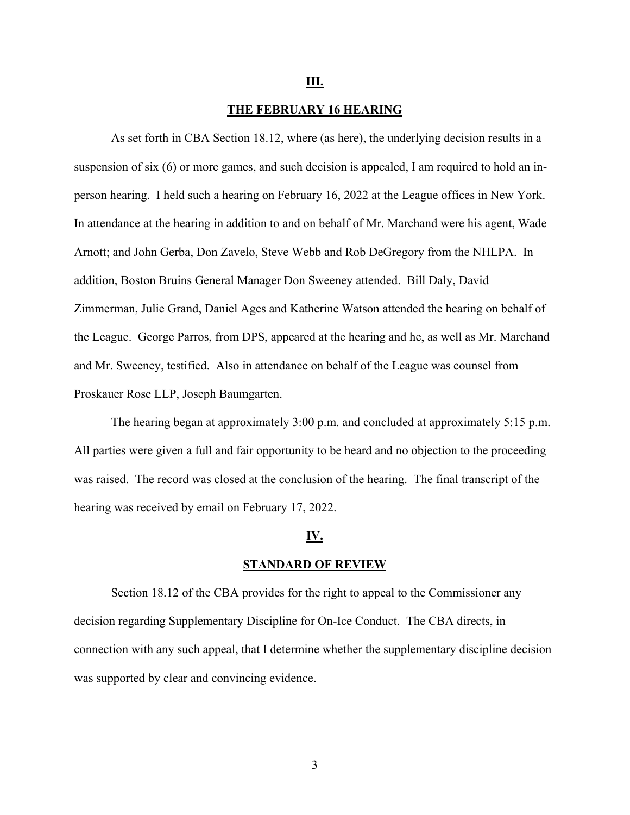#### **III.**

# **THE FEBRUARY 16 HEARING**

As set forth in CBA Section 18.12, where (as here), the underlying decision results in a suspension of six (6) or more games, and such decision is appealed, I am required to hold an inperson hearing. I held such a hearing on February 16, 2022 at the League offices in New York. In attendance at the hearing in addition to and on behalf of Mr. Marchand were his agent, Wade Arnott; and John Gerba, Don Zavelo, Steve Webb and Rob DeGregory from the NHLPA. In addition, Boston Bruins General Manager Don Sweeney attended. Bill Daly, David Zimmerman, Julie Grand, Daniel Ages and Katherine Watson attended the hearing on behalf of the League. George Parros, from DPS, appeared at the hearing and he, as well as Mr. Marchand and Mr. Sweeney, testified. Also in attendance on behalf of the League was counsel from Proskauer Rose LLP, Joseph Baumgarten.

The hearing began at approximately 3:00 p.m. and concluded at approximately 5:15 p.m. All parties were given a full and fair opportunity to be heard and no objection to the proceeding was raised. The record was closed at the conclusion of the hearing. The final transcript of the hearing was received by email on February 17, 2022.

#### **IV.**

#### **STANDARD OF REVIEW**

Section 18.12 of the CBA provides for the right to appeal to the Commissioner any decision regarding Supplementary Discipline for On-Ice Conduct. The CBA directs, in connection with any such appeal, that I determine whether the supplementary discipline decision was supported by clear and convincing evidence.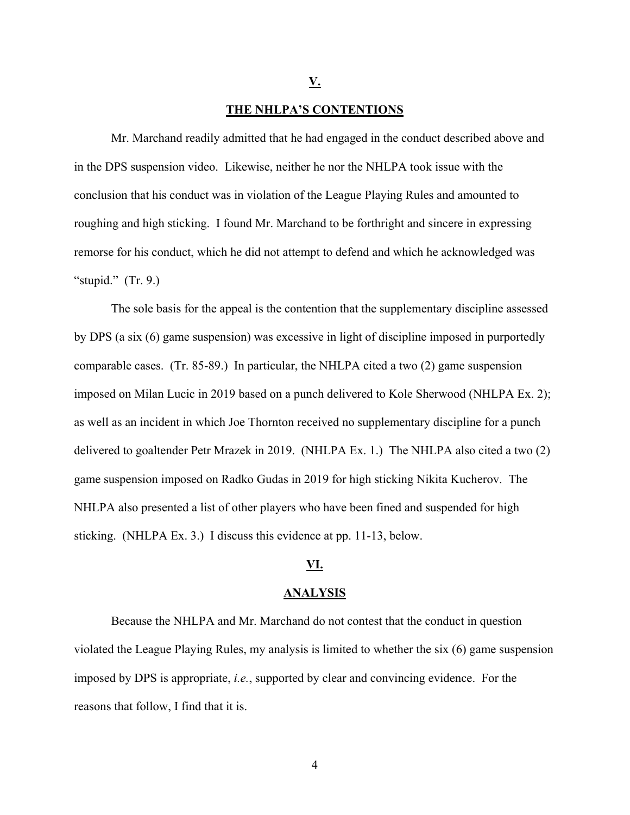**V.** 

# **THE NHLPA'S CONTENTIONS**

Mr. Marchand readily admitted that he had engaged in the conduct described above and in the DPS suspension video. Likewise, neither he nor the NHLPA took issue with the conclusion that his conduct was in violation of the League Playing Rules and amounted to roughing and high sticking. I found Mr. Marchand to be forthright and sincere in expressing remorse for his conduct, which he did not attempt to defend and which he acknowledged was "stupid."  $(Tr. 9.)$ 

The sole basis for the appeal is the contention that the supplementary discipline assessed by DPS (a six (6) game suspension) was excessive in light of discipline imposed in purportedly comparable cases. (Tr. 85-89.) In particular, the NHLPA cited a two (2) game suspension imposed on Milan Lucic in 2019 based on a punch delivered to Kole Sherwood (NHLPA Ex. 2); as well as an incident in which Joe Thornton received no supplementary discipline for a punch delivered to goaltender Petr Mrazek in 2019. (NHLPA Ex. 1.) The NHLPA also cited a two (2) game suspension imposed on Radko Gudas in 2019 for high sticking Nikita Kucherov. The NHLPA also presented a list of other players who have been fined and suspended for high sticking. (NHLPA Ex. 3.) I discuss this evidence at pp. 11-13, below.

# **VI.**

#### **ANALYSIS**

Because the NHLPA and Mr. Marchand do not contest that the conduct in question violated the League Playing Rules, my analysis is limited to whether the six (6) game suspension imposed by DPS is appropriate, *i.e.*, supported by clear and convincing evidence. For the reasons that follow, I find that it is.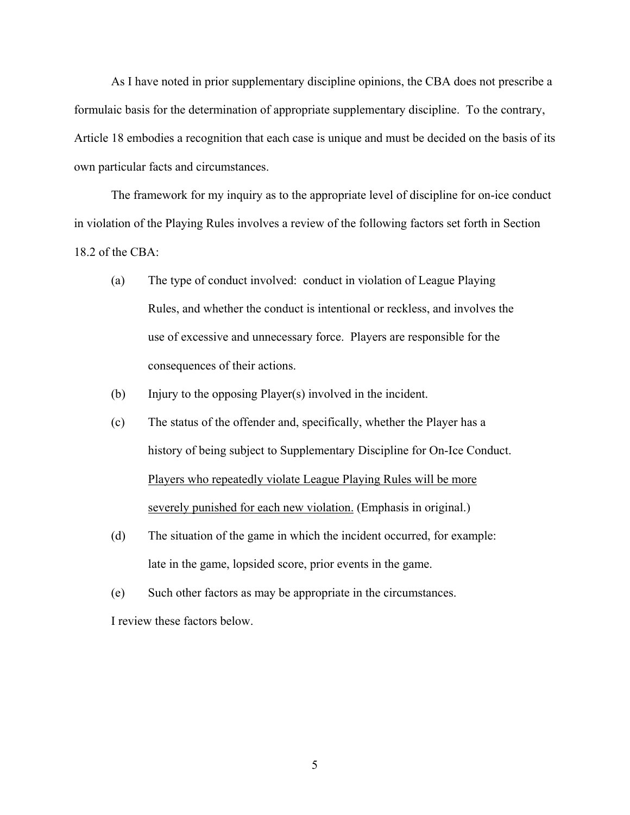As I have noted in prior supplementary discipline opinions, the CBA does not prescribe a formulaic basis for the determination of appropriate supplementary discipline. To the contrary, Article 18 embodies a recognition that each case is unique and must be decided on the basis of its own particular facts and circumstances.

The framework for my inquiry as to the appropriate level of discipline for on-ice conduct in violation of the Playing Rules involves a review of the following factors set forth in Section 18.2 of the CBA:

- (a) The type of conduct involved: conduct in violation of League Playing Rules, and whether the conduct is intentional or reckless, and involves the use of excessive and unnecessary force. Players are responsible for the consequences of their actions.
- (b) Injury to the opposing Player(s) involved in the incident.
- (c) The status of the offender and, specifically, whether the Player has a history of being subject to Supplementary Discipline for On-Ice Conduct. Players who repeatedly violate League Playing Rules will be more severely punished for each new violation. (Emphasis in original.)
- (d) The situation of the game in which the incident occurred, for example: late in the game, lopsided score, prior events in the game.
- (e) Such other factors as may be appropriate in the circumstances.

I review these factors below.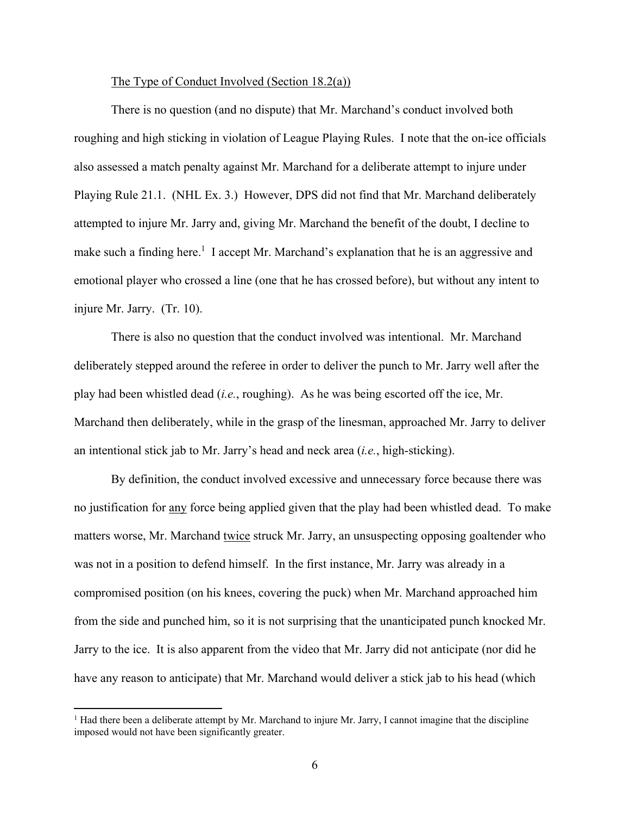## The Type of Conduct Involved (Section 18.2(a))

There is no question (and no dispute) that Mr. Marchand's conduct involved both roughing and high sticking in violation of League Playing Rules. I note that the on-ice officials also assessed a match penalty against Mr. Marchand for a deliberate attempt to injure under Playing Rule 21.1. (NHL Ex. 3.) However, DPS did not find that Mr. Marchand deliberately attempted to injure Mr. Jarry and, giving Mr. Marchand the benefit of the doubt, I decline to make such a finding here.<sup>1</sup> I accept Mr. Marchand's explanation that he is an aggressive and emotional player who crossed a line (one that he has crossed before), but without any intent to injure Mr. Jarry. (Tr. 10).

There is also no question that the conduct involved was intentional. Mr. Marchand deliberately stepped around the referee in order to deliver the punch to Mr. Jarry well after the play had been whistled dead (*i.e.*, roughing). As he was being escorted off the ice, Mr. Marchand then deliberately, while in the grasp of the linesman, approached Mr. Jarry to deliver an intentional stick jab to Mr. Jarry's head and neck area (*i.e.*, high-sticking).

By definition, the conduct involved excessive and unnecessary force because there was no justification for any force being applied given that the play had been whistled dead. To make matters worse, Mr. Marchand twice struck Mr. Jarry, an unsuspecting opposing goaltender who was not in a position to defend himself. In the first instance, Mr. Jarry was already in a compromised position (on his knees, covering the puck) when Mr. Marchand approached him from the side and punched him, so it is not surprising that the unanticipated punch knocked Mr. Jarry to the ice. It is also apparent from the video that Mr. Jarry did not anticipate (nor did he have any reason to anticipate) that Mr. Marchand would deliver a stick jab to his head (which

<sup>&</sup>lt;sup>1</sup> Had there been a deliberate attempt by Mr. Marchand to injure Mr. Jarry, I cannot imagine that the discipline imposed would not have been significantly greater.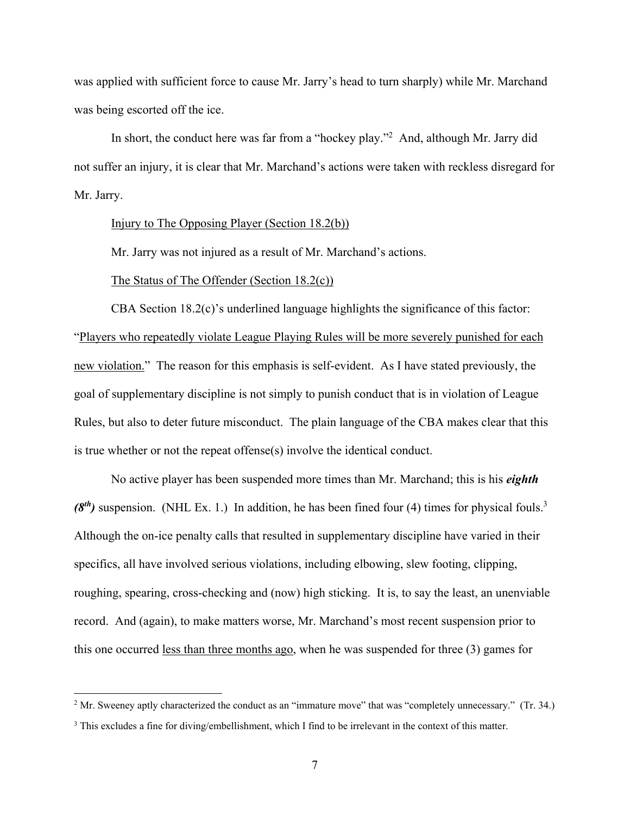was applied with sufficient force to cause Mr. Jarry's head to turn sharply) while Mr. Marchand was being escorted off the ice.

In short, the conduct here was far from a "hockey play."<sup>2</sup> And, although Mr. Jarry did not suffer an injury, it is clear that Mr. Marchand's actions were taken with reckless disregard for Mr. Jarry.

### Injury to The Opposing Player (Section 18.2(b))

Mr. Jarry was not injured as a result of Mr. Marchand's actions.

# The Status of The Offender (Section 18.2(c))

CBA Section 18.2(c)'s underlined language highlights the significance of this factor: "Players who repeatedly violate League Playing Rules will be more severely punished for each new violation." The reason for this emphasis is self-evident. As I have stated previously, the goal of supplementary discipline is not simply to punish conduct that is in violation of League Rules, but also to deter future misconduct. The plain language of the CBA makes clear that this is true whether or not the repeat offense(s) involve the identical conduct.

No active player has been suspended more times than Mr. Marchand; this is his *eighth*  (8<sup>th</sup>) suspension. (NHL Ex. 1.) In addition, he has been fined four (4) times for physical fouls.<sup>3</sup> Although the on-ice penalty calls that resulted in supplementary discipline have varied in their specifics, all have involved serious violations, including elbowing, slew footing, clipping, roughing, spearing, cross-checking and (now) high sticking. It is, to say the least, an unenviable record. And (again), to make matters worse, Mr. Marchand's most recent suspension prior to this one occurred less than three months ago, when he was suspended for three (3) games for

<sup>&</sup>lt;sup>2</sup> Mr. Sweeney aptly characterized the conduct as an "immature move" that was "completely unnecessary." (Tr. 34.)

<sup>&</sup>lt;sup>3</sup> This excludes a fine for diving/embellishment, which I find to be irrelevant in the context of this matter.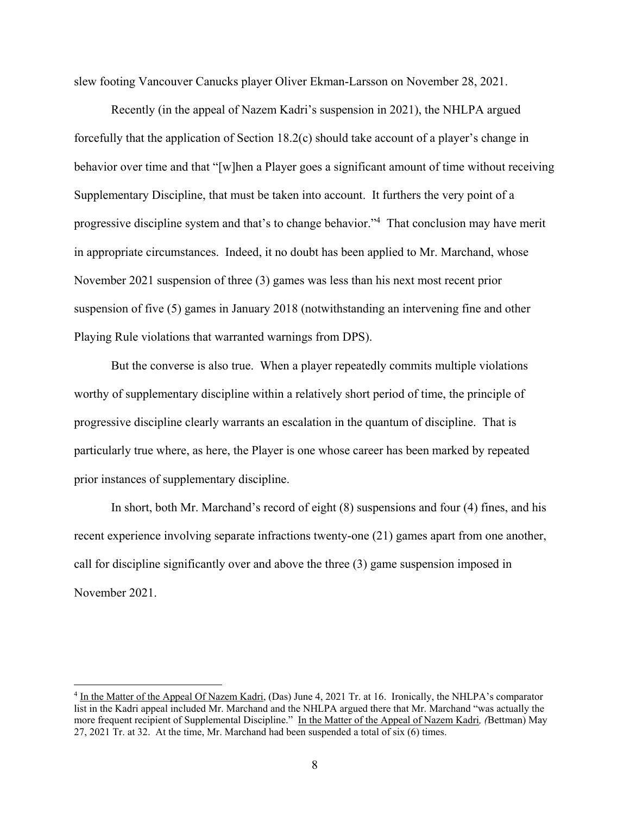slew footing Vancouver Canucks player Oliver Ekman-Larsson on November 28, 2021.

Recently (in the appeal of Nazem Kadri's suspension in 2021), the NHLPA argued forcefully that the application of Section 18.2(c) should take account of a player's change in behavior over time and that "[w]hen a Player goes a significant amount of time without receiving Supplementary Discipline, that must be taken into account. It furthers the very point of a progressive discipline system and that's to change behavior."<sup>4</sup> That conclusion may have merit in appropriate circumstances. Indeed, it no doubt has been applied to Mr. Marchand, whose November 2021 suspension of three (3) games was less than his next most recent prior suspension of five (5) games in January 2018 (notwithstanding an intervening fine and other Playing Rule violations that warranted warnings from DPS).

But the converse is also true. When a player repeatedly commits multiple violations worthy of supplementary discipline within a relatively short period of time, the principle of progressive discipline clearly warrants an escalation in the quantum of discipline. That is particularly true where, as here, the Player is one whose career has been marked by repeated prior instances of supplementary discipline.

In short, both Mr. Marchand's record of eight (8) suspensions and four (4) fines, and his recent experience involving separate infractions twenty-one (21) games apart from one another, call for discipline significantly over and above the three (3) game suspension imposed in November 2021.

<sup>&</sup>lt;sup>4</sup> In the Matter of the Appeal Of Nazem Kadri, (Das) June 4, 2021 Tr. at 16. Ironically, the NHLPA's comparator list in the Kadri appeal included Mr. Marchand and the NHLPA argued there that Mr. Marchand "was actually the more frequent recipient of Supplemental Discipline." In the Matter of the Appeal of Nazem Kadri*, (*Bettman) May 27, 2021 Tr. at 32. At the time, Mr. Marchand had been suspended a total of six (6) times.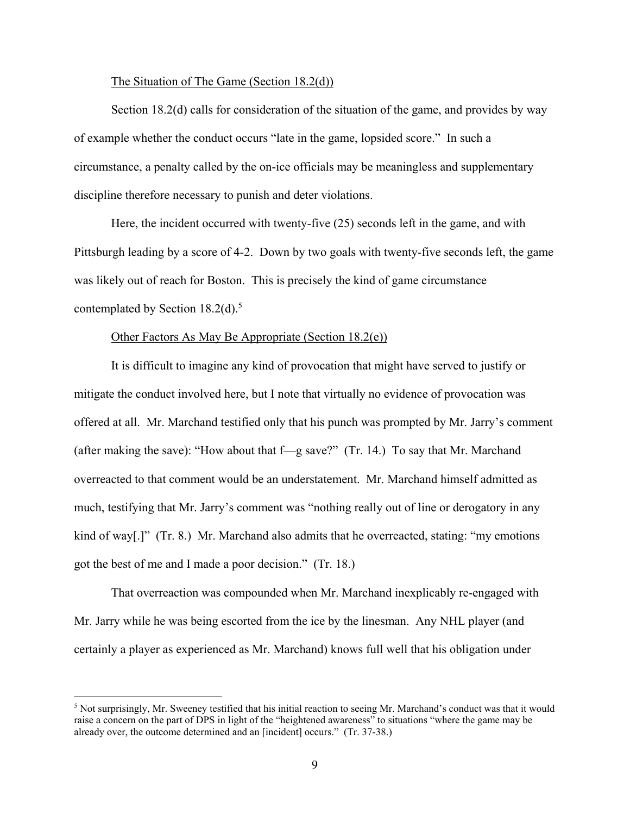# The Situation of The Game (Section 18.2(d))

Section 18.2(d) calls for consideration of the situation of the game, and provides by way of example whether the conduct occurs "late in the game, lopsided score." In such a circumstance, a penalty called by the on-ice officials may be meaningless and supplementary discipline therefore necessary to punish and deter violations.

Here, the incident occurred with twenty-five (25) seconds left in the game, and with Pittsburgh leading by a score of 4-2. Down by two goals with twenty-five seconds left, the game was likely out of reach for Boston. This is precisely the kind of game circumstance contemplated by Section  $18.2(d)$ .<sup>5</sup>

# Other Factors As May Be Appropriate (Section 18.2(e))

It is difficult to imagine any kind of provocation that might have served to justify or mitigate the conduct involved here, but I note that virtually no evidence of provocation was offered at all. Mr. Marchand testified only that his punch was prompted by Mr. Jarry's comment (after making the save): "How about that f—g save?" (Tr. 14.) To say that Mr. Marchand overreacted to that comment would be an understatement. Mr. Marchand himself admitted as much, testifying that Mr. Jarry's comment was "nothing really out of line or derogatory in any kind of way[.]" (Tr. 8.) Mr. Marchand also admits that he overreacted, stating: "my emotions got the best of me and I made a poor decision." (Tr. 18.)

That overreaction was compounded when Mr. Marchand inexplicably re-engaged with Mr. Jarry while he was being escorted from the ice by the linesman. Any NHL player (and certainly a player as experienced as Mr. Marchand) knows full well that his obligation under

 $<sup>5</sup>$  Not surprisingly, Mr. Sweeney testified that his initial reaction to seeing Mr. Marchand's conduct was that it would</sup> raise a concern on the part of DPS in light of the "heightened awareness" to situations "where the game may be already over, the outcome determined and an [incident] occurs." (Tr. 37-38.)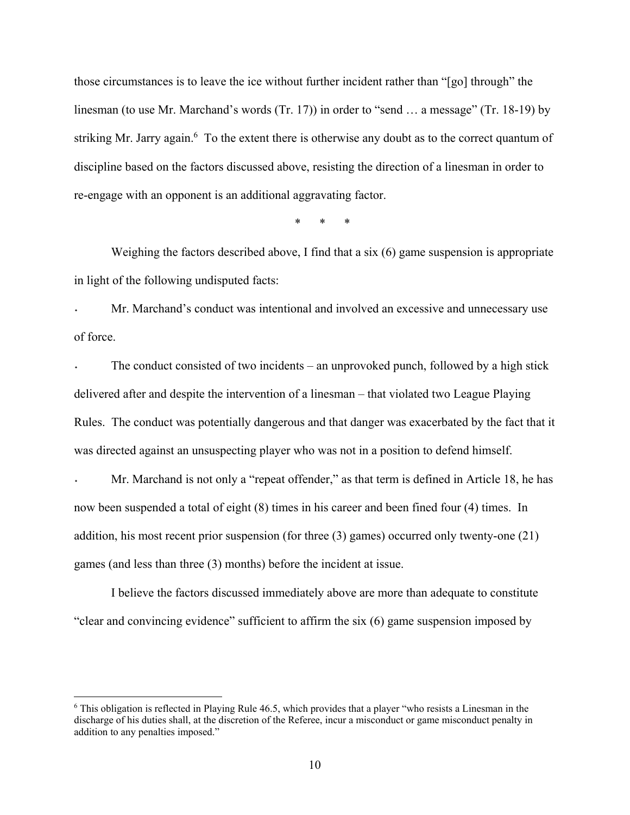those circumstances is to leave the ice without further incident rather than "[go] through" the linesman (to use Mr. Marchand's words (Tr. 17)) in order to "send ... a message" (Tr. 18-19) by striking Mr. Jarry again.<sup>6</sup> To the extent there is otherwise any doubt as to the correct quantum of discipline based on the factors discussed above, resisting the direction of a linesman in order to re-engage with an opponent is an additional aggravating factor.

\* \* \*

Weighing the factors described above, I find that a six (6) game suspension is appropriate in light of the following undisputed facts:

˖ Mr. Marchand's conduct was intentional and involved an excessive and unnecessary use of force.

The conduct consisted of two incidents – an unprovoked punch, followed by a high stick delivered after and despite the intervention of a linesman – that violated two League Playing Rules. The conduct was potentially dangerous and that danger was exacerbated by the fact that it was directed against an unsuspecting player who was not in a position to defend himself.

Mr. Marchand is not only a "repeat offender," as that term is defined in Article 18, he has now been suspended a total of eight (8) times in his career and been fined four (4) times. In addition, his most recent prior suspension (for three (3) games) occurred only twenty-one (21) games (and less than three (3) months) before the incident at issue.

I believe the factors discussed immediately above are more than adequate to constitute "clear and convincing evidence" sufficient to affirm the six (6) game suspension imposed by

<sup>6</sup> This obligation is reflected in Playing Rule 46.5, which provides that a player "who resists a Linesman in the discharge of his duties shall, at the discretion of the Referee, incur a misconduct or game misconduct penalty in addition to any penalties imposed."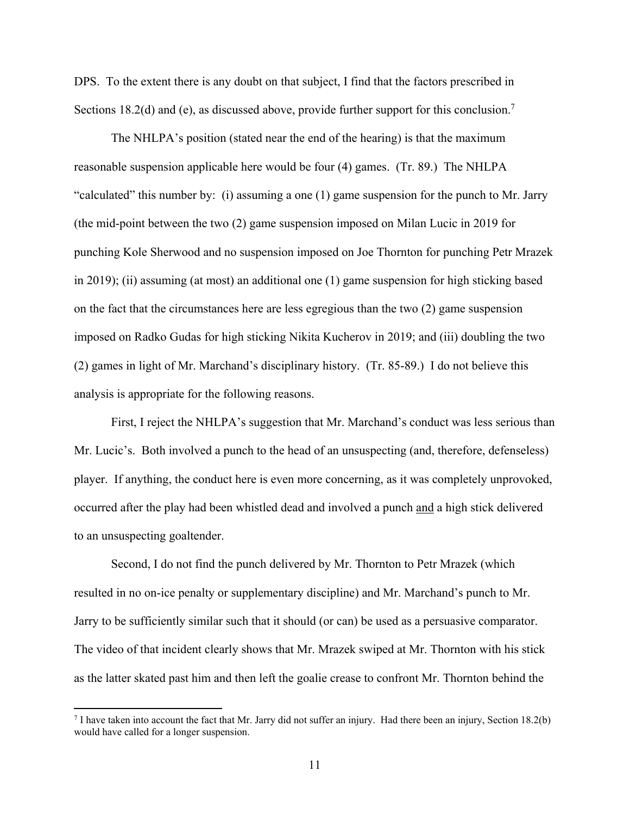DPS. To the extent there is any doubt on that subject, I find that the factors prescribed in Sections 18.2(d) and (e), as discussed above, provide further support for this conclusion.<sup>7</sup>

The NHLPA's position (stated near the end of the hearing) is that the maximum reasonable suspension applicable here would be four (4) games. (Tr. 89.) The NHLPA "calculated" this number by: (i) assuming a one (1) game suspension for the punch to Mr. Jarry (the mid-point between the two (2) game suspension imposed on Milan Lucic in 2019 for punching Kole Sherwood and no suspension imposed on Joe Thornton for punching Petr Mrazek in 2019); (ii) assuming (at most) an additional one (1) game suspension for high sticking based on the fact that the circumstances here are less egregious than the two (2) game suspension imposed on Radko Gudas for high sticking Nikita Kucherov in 2019; and (iii) doubling the two (2) games in light of Mr. Marchand's disciplinary history. (Tr. 85-89.) I do not believe this analysis is appropriate for the following reasons.

First, I reject the NHLPA's suggestion that Mr. Marchand's conduct was less serious than Mr. Lucic's. Both involved a punch to the head of an unsuspecting (and, therefore, defenseless) player. If anything, the conduct here is even more concerning, as it was completely unprovoked, occurred after the play had been whistled dead and involved a punch and a high stick delivered to an unsuspecting goaltender.

Second, I do not find the punch delivered by Mr. Thornton to Petr Mrazek (which resulted in no on-ice penalty or supplementary discipline) and Mr. Marchand's punch to Mr. Jarry to be sufficiently similar such that it should (or can) be used as a persuasive comparator. The video of that incident clearly shows that Mr. Mrazek swiped at Mr. Thornton with his stick as the latter skated past him and then left the goalie crease to confront Mr. Thornton behind the

1

<sup>7</sup> I have taken into account the fact that Mr. Jarry did not suffer an injury. Had there been an injury, Section 18.2(b) would have called for a longer suspension.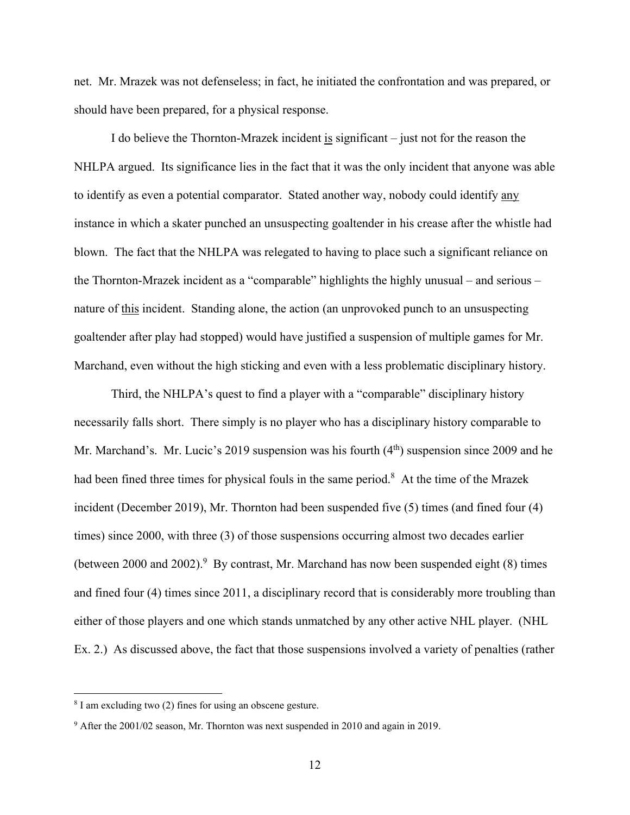net. Mr. Mrazek was not defenseless; in fact, he initiated the confrontation and was prepared, or should have been prepared, for a physical response.

I do believe the Thornton-Mrazek incident is significant – just not for the reason the NHLPA argued. Its significance lies in the fact that it was the only incident that anyone was able to identify as even a potential comparator. Stated another way, nobody could identify any instance in which a skater punched an unsuspecting goaltender in his crease after the whistle had blown. The fact that the NHLPA was relegated to having to place such a significant reliance on the Thornton-Mrazek incident as a "comparable" highlights the highly unusual – and serious – nature of this incident. Standing alone, the action (an unprovoked punch to an unsuspecting goaltender after play had stopped) would have justified a suspension of multiple games for Mr. Marchand, even without the high sticking and even with a less problematic disciplinary history.

Third, the NHLPA's quest to find a player with a "comparable" disciplinary history necessarily falls short. There simply is no player who has a disciplinary history comparable to Mr. Marchand's. Mr. Lucic's 2019 suspension was his fourth  $(4<sup>th</sup>)$  suspension since 2009 and he had been fined three times for physical fouls in the same period.<sup>8</sup> At the time of the Mrazek incident (December 2019), Mr. Thornton had been suspended five (5) times (and fined four (4) times) since 2000, with three (3) of those suspensions occurring almost two decades earlier (between 2000 and 2002).<sup>9</sup> By contrast, Mr. Marchand has now been suspended eight  $(8)$  times and fined four (4) times since 2011, a disciplinary record that is considerably more troubling than either of those players and one which stands unmatched by any other active NHL player. (NHL Ex. 2.) As discussed above, the fact that those suspensions involved a variety of penalties (rather

<u>.</u>

<sup>&</sup>lt;sup>8</sup> I am excluding two (2) fines for using an obscene gesture.

 $9$  After the 2001/02 season, Mr. Thornton was next suspended in 2010 and again in 2019.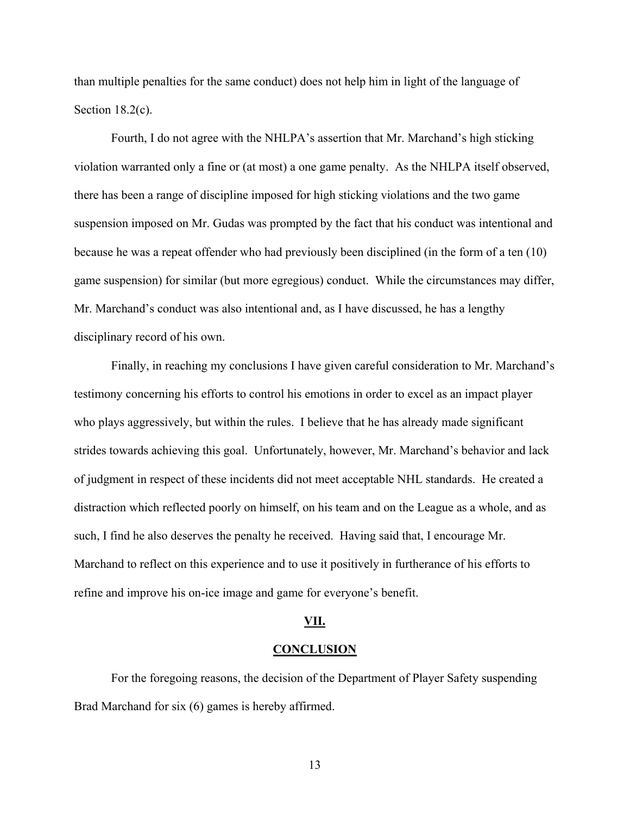than multiple penalties for the same conduct) does not help him in light of the language of Section 18.2(c).

Fourth, I do not agree with the NHLPA's assertion that Mr. Marchand's high sticking violation warranted only a fine or (at most) a one game penalty. As the NHLPA itself observed, there has been a range of discipline imposed for high sticking violations and the two game suspension imposed on Mr. Gudas was prompted by the fact that his conduct was intentional and because he was a repeat offender who had previously been disciplined (in the form of a ten (10) game suspension) for similar (but more egregious) conduct. While the circumstances may differ, Mr. Marchand's conduct was also intentional and, as I have discussed, he has a lengthy disciplinary record of his own.

Finally, in reaching my conclusions I have given careful consideration to Mr. Marchand's testimony concerning his efforts to control his emotions in order to excel as an impact player who plays aggressively, but within the rules. I believe that he has already made significant strides towards achieving this goal. Unfortunately, however, Mr. Marchand's behavior and lack of judgment in respect of these incidents did not meet acceptable NHL standards. He created a distraction which reflected poorly on himself, on his team and on the League as a whole, and as such, I find he also deserves the penalty he received. Having said that, I encourage Mr. Marchand to reflect on this experience and to use it positively in furtherance of his efforts to refine and improve his on-ice image and game for everyone's benefit.

#### **VII.**

#### **CONCLUSION**

For the foregoing reasons, the decision of the Department of Player Safety suspending Brad Marchand for six (6) games is hereby affirmed.

13